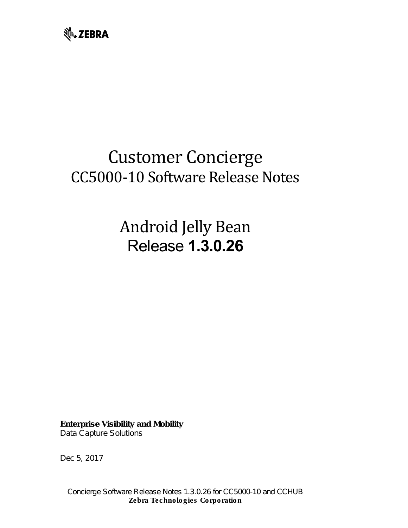

# Customer Concierge CC5000-10 Software Release Notes

Android Jelly Bean Release 1.3.0.26

Enterprise Visibility and Mobility Data Capture Solutions

Dec 5, 2017

Concierge Software Release Notes 1.3.0.26 for CC5000-10 and CCHUB *Zebra Technologies Corporation*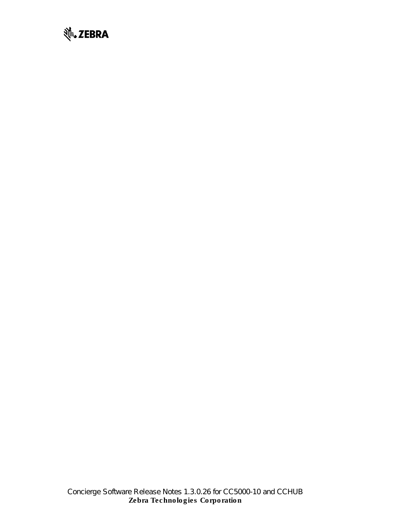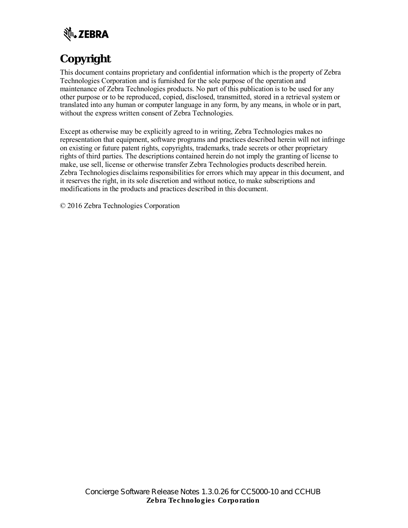

## Copyright

This document contains proprietary and confidential information which is the property of Zebra Technologies Corporation and is furnished for the sole purpose of the operation and maintenance of Zebra Technologies products. No part of this publication is to be used for any other purpose or to be reproduced, copied, disclosed, transmitted, stored in a retrieval system or translated into any human or computer language in any form, by any means, in whole or in part, without the express written consent of Zebra Technologies.

Except as otherwise may be explicitly agreed to in writing, Zebra Technologies makes no representation that equipment, software programs and practices described herein will not infringe on existing or future patent rights, copyrights, trademarks, trade secrets or other proprietary rights of third parties. The descriptions contained herein do not imply the granting of license to make, use sell, license or otherwise transfer Zebra Technologies products described herein. Zebra Technologies disclaims responsibilities for errors which may appear in this document, and it reserves the right, in its sole discretion and without notice, to make subscriptions and modifications in the products and practices described in this document.

© 2016 Zebra Technologies Corporation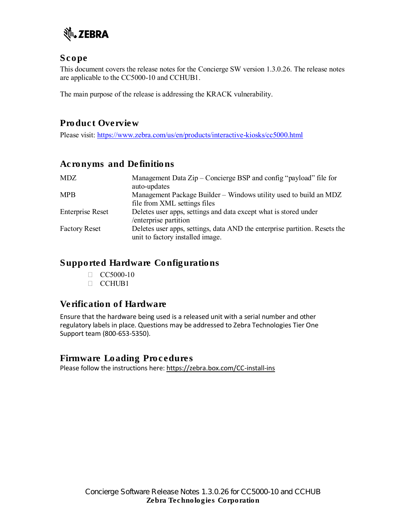

#### *Scope*

This document covers the release notes for the Concierge SW version 1.3.0.26. The release notes are applicable to the CC5000-10 and CCHUB1.

The main purpose of the release is addressing the KRACK vulnerability.

#### *Product Overview*

Please visit[: https://www.zebra.com/us/en/products/interactive-kiosks/cc5000.html](https://www.zebra.com/us/en/products/interactive-kiosks/cc5000.html)

#### *Acronyms and Definitions*

| MDZ                     | Management Data Zip – Concierge BSP and config "payload" file for                                              |
|-------------------------|----------------------------------------------------------------------------------------------------------------|
|                         | auto-updates                                                                                                   |
| <b>MPB</b>              | Management Package Builder – Windows utility used to build an MDZ                                              |
|                         | file from XML settings files                                                                                   |
| <b>Enterprise Reset</b> | Deletes user apps, settings and data except what is stored under<br>/enterprise partition                      |
| <b>Factory Reset</b>    | Deletes user apps, settings, data AND the enterprise partition. Resets the<br>unit to factory installed image. |

### *Supported Hardware Configurations*

- $\Box$  CC5000-10
- $\Box$  CCHUB1

#### *Verification of Hardware*

Ensure that the hardware being used is a released unit with a serial number and other regulatory labels in place. Questions may be addressed to Zebra Technologies Tier One Support team (800-653-5350).

*Firmware Loading Procedures* Please follow the instructions here:<https://zebra.box.com/CC-install-ins>